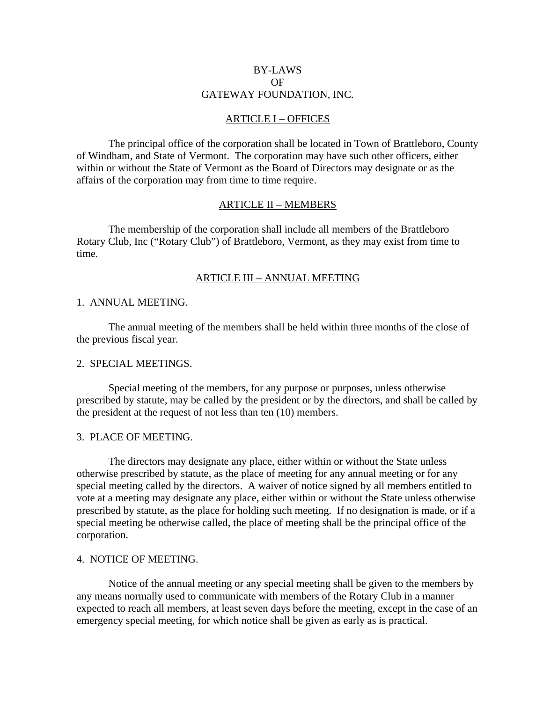## BY-LAWS OF GATEWAY FOUNDATION, INC.

## ARTICLE I – OFFICES

 The principal office of the corporation shall be located in Town of Brattleboro, County of Windham, and State of Vermont. The corporation may have such other officers, either within or without the State of Vermont as the Board of Directors may designate or as the affairs of the corporation may from time to time require.

## ARTICLE II – MEMBERS

 The membership of the corporation shall include all members of the Brattleboro Rotary Club, Inc ("Rotary Club") of Brattleboro, Vermont, as they may exist from time to time.

#### ARTICLE III – ANNUAL MEETING

#### 1. ANNUAL MEETING.

 The annual meeting of the members shall be held within three months of the close of the previous fiscal year.

#### 2. SPECIAL MEETINGS.

 Special meeting of the members, for any purpose or purposes, unless otherwise prescribed by statute, may be called by the president or by the directors, and shall be called by the president at the request of not less than ten (10) members.

#### 3. PLACE OF MEETING.

 The directors may designate any place, either within or without the State unless otherwise prescribed by statute, as the place of meeting for any annual meeting or for any special meeting called by the directors. A waiver of notice signed by all members entitled to vote at a meeting may designate any place, either within or without the State unless otherwise prescribed by statute, as the place for holding such meeting. If no designation is made, or if a special meeting be otherwise called, the place of meeting shall be the principal office of the corporation.

#### 4. NOTICE OF MEETING.

 Notice of the annual meeting or any special meeting shall be given to the members by any means normally used to communicate with members of the Rotary Club in a manner expected to reach all members, at least seven days before the meeting, except in the case of an emergency special meeting, for which notice shall be given as early as is practical.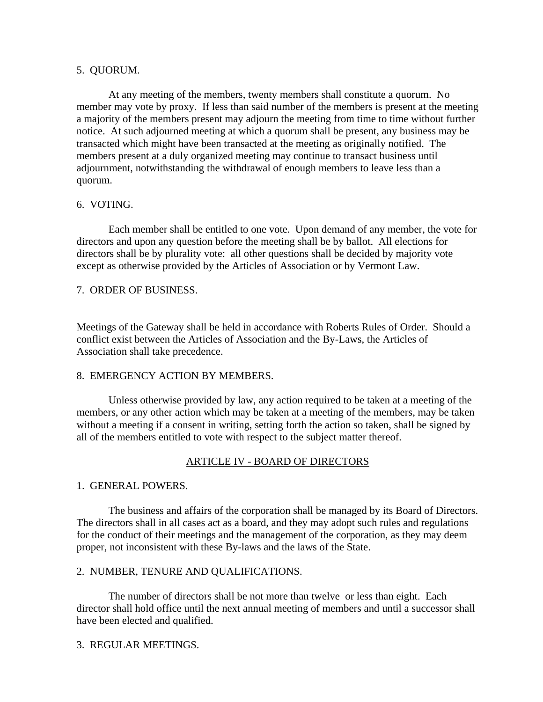## 5. QUORUM.

 At any meeting of the members, twenty members shall constitute a quorum. No member may vote by proxy. If less than said number of the members is present at the meeting a majority of the members present may adjourn the meeting from time to time without further notice. At such adjourned meeting at which a quorum shall be present, any business may be transacted which might have been transacted at the meeting as originally notified. The members present at a duly organized meeting may continue to transact business until adjournment, notwithstanding the withdrawal of enough members to leave less than a quorum.

# 6. VOTING.

 Each member shall be entitled to one vote. Upon demand of any member, the vote for directors and upon any question before the meeting shall be by ballot. All elections for directors shall be by plurality vote: all other questions shall be decided by majority vote except as otherwise provided by the Articles of Association or by Vermont Law.

# 7. ORDER OF BUSINESS.

Meetings of the Gateway shall be held in accordance with Roberts Rules of Order. Should a conflict exist between the Articles of Association and the By-Laws, the Articles of Association shall take precedence.

# 8. EMERGENCY ACTION BY MEMBERS.

 Unless otherwise provided by law, any action required to be taken at a meeting of the members, or any other action which may be taken at a meeting of the members, may be taken without a meeting if a consent in writing, setting forth the action so taken, shall be signed by all of the members entitled to vote with respect to the subject matter thereof.

# ARTICLE IV - BOARD OF DIRECTORS

# 1. GENERAL POWERS.

 The business and affairs of the corporation shall be managed by its Board of Directors. The directors shall in all cases act as a board, and they may adopt such rules and regulations for the conduct of their meetings and the management of the corporation, as they may deem proper, not inconsistent with these By-laws and the laws of the State.

# 2. NUMBER, TENURE AND QUALIFICATIONS.

 The number of directors shall be not more than twelve or less than eight. Each director shall hold office until the next annual meeting of members and until a successor shall have been elected and qualified.

# 3. REGULAR MEETINGS.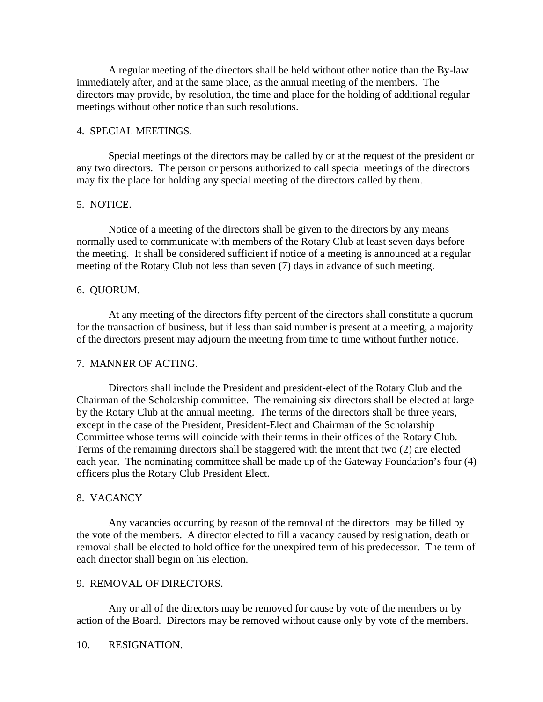A regular meeting of the directors shall be held without other notice than the By-law immediately after, and at the same place, as the annual meeting of the members. The directors may provide, by resolution, the time and place for the holding of additional regular meetings without other notice than such resolutions.

## 4. SPECIAL MEETINGS.

 Special meetings of the directors may be called by or at the request of the president or any two directors. The person or persons authorized to call special meetings of the directors may fix the place for holding any special meeting of the directors called by them.

# 5. NOTICE.

 Notice of a meeting of the directors shall be given to the directors by any means normally used to communicate with members of the Rotary Club at least seven days before the meeting. It shall be considered sufficient if notice of a meeting is announced at a regular meeting of the Rotary Club not less than seven (7) days in advance of such meeting.

## 6. QUORUM.

 At any meeting of the directors fifty percent of the directors shall constitute a quorum for the transaction of business, but if less than said number is present at a meeting, a majority of the directors present may adjourn the meeting from time to time without further notice.

## 7. MANNER OF ACTING.

 Directors shall include the President and president-elect of the Rotary Club and the Chairman of the Scholarship committee. The remaining six directors shall be elected at large by the Rotary Club at the annual meeting. The terms of the directors shall be three years, except in the case of the President, President-Elect and Chairman of the Scholarship Committee whose terms will coincide with their terms in their offices of the Rotary Club. Terms of the remaining directors shall be staggered with the intent that two (2) are elected each year. The nominating committee shall be made up of the Gateway Foundation's four (4) officers plus the Rotary Club President Elect.

## 8. VACANCY

 Any vacancies occurring by reason of the removal of the directors may be filled by the vote of the members. A director elected to fill a vacancy caused by resignation, death or removal shall be elected to hold office for the unexpired term of his predecessor. The term of each director shall begin on his election.

#### 9. REMOVAL OF DIRECTORS.

 Any or all of the directors may be removed for cause by vote of the members or by action of the Board. Directors may be removed without cause only by vote of the members.

#### 10. RESIGNATION.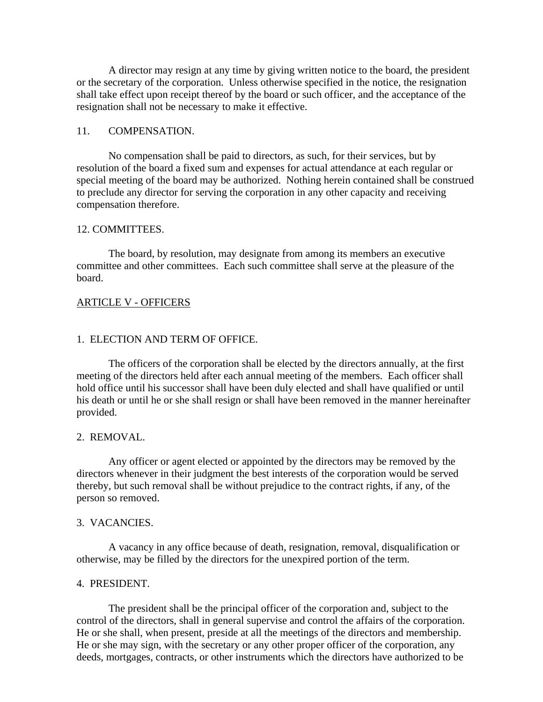A director may resign at any time by giving written notice to the board, the president or the secretary of the corporation. Unless otherwise specified in the notice, the resignation shall take effect upon receipt thereof by the board or such officer, and the acceptance of the resignation shall not be necessary to make it effective.

## 11. COMPENSATION.

 No compensation shall be paid to directors, as such, for their services, but by resolution of the board a fixed sum and expenses for actual attendance at each regular or special meeting of the board may be authorized. Nothing herein contained shall be construed to preclude any director for serving the corporation in any other capacity and receiving compensation therefore.

#### 12. COMMITTEES.

 The board, by resolution, may designate from among its members an executive committee and other committees. Each such committee shall serve at the pleasure of the board.

## ARTICLE V - OFFICERS

#### 1. ELECTION AND TERM OF OFFICE.

 The officers of the corporation shall be elected by the directors annually, at the first meeting of the directors held after each annual meeting of the members. Each officer shall hold office until his successor shall have been duly elected and shall have qualified or until his death or until he or she shall resign or shall have been removed in the manner hereinafter provided.

#### 2. REMOVAL.

 Any officer or agent elected or appointed by the directors may be removed by the directors whenever in their judgment the best interests of the corporation would be served thereby, but such removal shall be without prejudice to the contract rights, if any, of the person so removed.

#### 3. VACANCIES.

 A vacancy in any office because of death, resignation, removal, disqualification or otherwise, may be filled by the directors for the unexpired portion of the term.

#### 4. PRESIDENT.

 The president shall be the principal officer of the corporation and, subject to the control of the directors, shall in general supervise and control the affairs of the corporation. He or she shall, when present, preside at all the meetings of the directors and membership. He or she may sign, with the secretary or any other proper officer of the corporation, any deeds, mortgages, contracts, or other instruments which the directors have authorized to be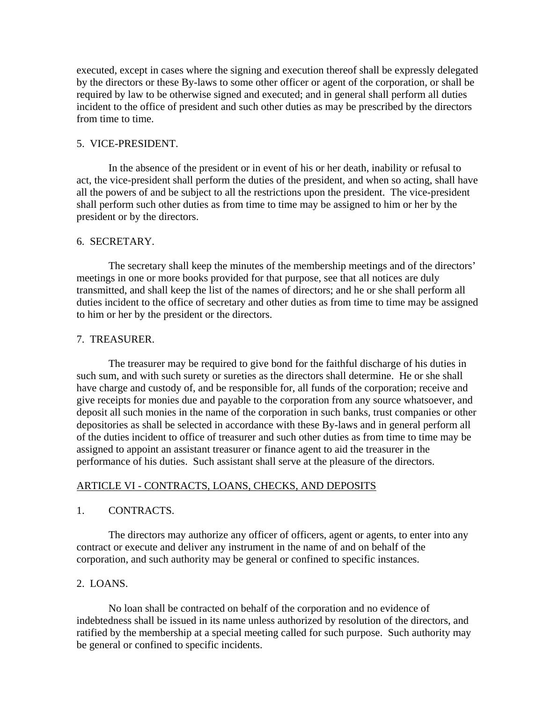executed, except in cases where the signing and execution thereof shall be expressly delegated by the directors or these By-laws to some other officer or agent of the corporation, or shall be required by law to be otherwise signed and executed; and in general shall perform all duties incident to the office of president and such other duties as may be prescribed by the directors from time to time.

## 5. VICE-PRESIDENT.

 In the absence of the president or in event of his or her death, inability or refusal to act, the vice-president shall perform the duties of the president, and when so acting, shall have all the powers of and be subject to all the restrictions upon the president. The vice-president shall perform such other duties as from time to time may be assigned to him or her by the president or by the directors.

## 6. SECRETARY.

 The secretary shall keep the minutes of the membership meetings and of the directors' meetings in one or more books provided for that purpose, see that all notices are duly transmitted, and shall keep the list of the names of directors; and he or she shall perform all duties incident to the office of secretary and other duties as from time to time may be assigned to him or her by the president or the directors.

#### 7. TREASURER.

 The treasurer may be required to give bond for the faithful discharge of his duties in such sum, and with such surety or sureties as the directors shall determine. He or she shall have charge and custody of, and be responsible for, all funds of the corporation; receive and give receipts for monies due and payable to the corporation from any source whatsoever, and deposit all such monies in the name of the corporation in such banks, trust companies or other depositories as shall be selected in accordance with these By-laws and in general perform all of the duties incident to office of treasurer and such other duties as from time to time may be assigned to appoint an assistant treasurer or finance agent to aid the treasurer in the performance of his duties. Such assistant shall serve at the pleasure of the directors.

## ARTICLE VI - CONTRACTS, LOANS, CHECKS, AND DEPOSITS

## 1. CONTRACTS.

 The directors may authorize any officer of officers, agent or agents, to enter into any contract or execute and deliver any instrument in the name of and on behalf of the corporation, and such authority may be general or confined to specific instances.

## 2. LOANS.

 No loan shall be contracted on behalf of the corporation and no evidence of indebtedness shall be issued in its name unless authorized by resolution of the directors, and ratified by the membership at a special meeting called for such purpose. Such authority may be general or confined to specific incidents.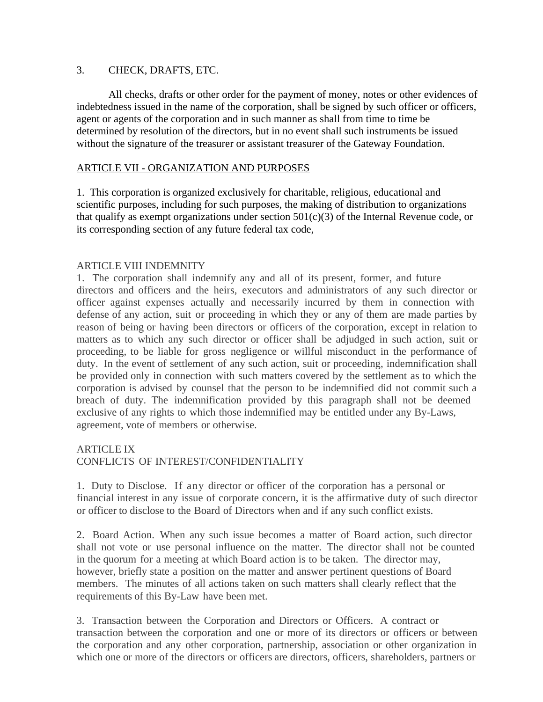# 3. CHECK, DRAFTS, ETC.

 All checks, drafts or other order for the payment of money, notes or other evidences of indebtedness issued in the name of the corporation, shall be signed by such officer or officers, agent or agents of the corporation and in such manner as shall from time to time be determined by resolution of the directors, but in no event shall such instruments be issued without the signature of the treasurer or assistant treasurer of the Gateway Foundation.

# ARTICLE VII - ORGANIZATION AND PURPOSES

1. This corporation is organized exclusively for charitable, religious, educational and scientific purposes, including for such purposes, the making of distribution to organizations that qualify as exempt organizations under section  $501(c)(3)$  of the Internal Revenue code, or its corresponding section of any future federal tax code,

# ARTICLE VIII INDEMNITY

1. The corporation shall indemnify any and all of its present, former, and future directors and officers and the heirs, executors and administrators of any such director or officer against expenses actually and necessarily incurred by them in connection with defense of any action, suit or proceeding in which they or any of them are made parties by reason of being or having been directors or officers of the corporation, except in relation to matters as to which any such director or officer shall be adjudged in such action, suit or proceeding, to be liable for gross negligence or willful misconduct in the performance of duty. In the event of settlement of any such action, suit or proceeding, indemnification shall be provided only in connection with such matters covered by the settlement as to which the corporation is advised by counsel that the person to be indemnified did not commit such a breach of duty. The indemnification provided by this paragraph shall not be deemed exclusive of any rights to which those indemnified may be entitled under any By-Laws, agreement, vote of members or otherwise.

# ARTICLE IX CONFLICTS OF INTEREST/CONFIDENTIALITY

1. Duty to Disclose. If any director or officer of the corporation has a personal or financial interest in any issue of corporate concern, it is the affirmative duty of such director or officer to disclose to the Board of Directors when and if any such conflict exists.

2. Board Action. When any such issue becomes a matter of Board action, such director shall not vote or use personal influence on the matter. The director shall not be counted in the quorum for a meeting at which Board action is to be taken. The director may, however, briefly state a position on the matter and answer pertinent questions of Board members. The minutes of all actions taken on such matters shall clearly reflect that the requirements of this By-Law have been met.

3. Transaction between the Corporation and Directors or Officers. A contract or transaction between the corporation and one or more of its directors or officers or between the corporation and any other corporation, partnership, association or other organization in which one or more of the directors or officers are directors, officers, shareholders, partners or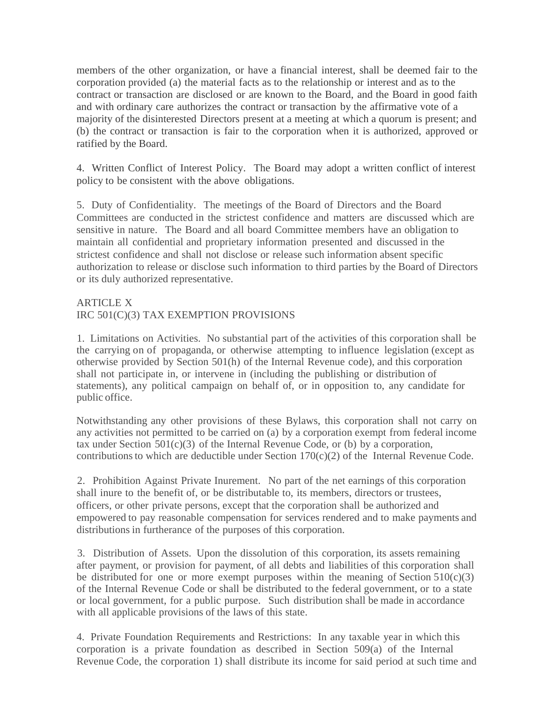members of the other organization, or have a financial interest, shall be deemed fair to the corporation provided (a) the material facts as to the relationship or interest and as to the contract or transaction are disclosed or are known to the Board, and the Board in good faith and with ordinary care authorizes the contract or transaction by the affirmative vote of a majority of the disinterested Directors present at a meeting at which a quorum is present; and (b) the contract or transaction is fair to the corporation when it is authorized, approved or ratified by the Board.

4. Written Conflict of Interest Policy. The Board may adopt a written conflict of interest policy to be consistent with the above obligations.

5. Duty of Confidentiality. The meetings of the Board of Directors and the Board Committees are conducted in the strictest confidence and matters are discussed which are sensitive in nature. The Board and all board Committee members have an obligation to maintain all confidential and proprietary information presented and discussed in the strictest confidence and shall not disclose or release such information absent specific authorization to release or disclose such information to third parties by the Board of Directors or its duly authorized representative.

# ARTICLE X

# IRC 501(C)(3) TAX EXEMPTION PROVISIONS

1. Limitations on Activities. No substantial part of the activities of this corporation shall be the carrying on of propaganda, or otherwise attempting to influence legislation (except as otherwise provided by Section 501(h) of the Internal Revenue code), and this corporation shall not participate in, or intervene in (including the publishing or distribution of statements), any political campaign on behalf of, or in opposition to, any candidate for public office.

Notwithstanding any other provisions of these Bylaws, this corporation shall not carry on any activities not permitted to be carried on (a) by a corporation exempt from federal income tax under Section  $501(c)(3)$  of the Internal Revenue Code, or (b) by a corporation, contributions to which are deductible under Section 170(c)(2) of the Internal Revenue Code.

2. Prohibition Against Private Inurement. No part of the net earnings of this corporation shall inure to the benefit of, or be distributable to, its members, directors or trustees, officers, or other private persons, except that the corporation shall be authorized and empowered to pay reasonable compensation for services rendered and to make payments and distributions in furtherance of the purposes of this corporation.

3. Distribution of Assets. Upon the dissolution of this corporation, its assets remaining after payment, or provision for payment, of all debts and liabilities of this corporation shall be distributed for one or more exempt purposes within the meaning of Section  $510(c)(3)$ of the Internal Revenue Code or shall be distributed to the federal government, or to a state or local government, for a public purpose. Such distribution shall be made in accordance with all applicable provisions of the laws of this state.

4. Private Foundation Requirements and Restrictions: In any taxable year in which this corporation is a private foundation as described in Section 509(a) of the Internal Revenue Code, the corporation 1) shall distribute its income for said period at such time and